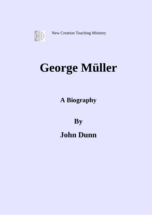

New Creation Teaching Ministry

# **George Müller**

**A Biography** 

**By** 

**John Dunn**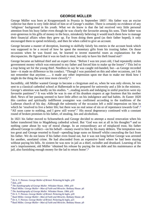George Müller was born at Kroppenstaedt in Prussia in September 18051. His father was an excise collector but there is very little detail of him or of George's mother. There is certainly no evidence of any 'religious' background in his youth. What we do know is that the lad received very little personal attention from his busy father even though he was clearly the favourite among his sons. Their father was over-generous in his gifts of money to the boys, mistakenly believing it would teach them how to manage their financial affairs when they grew up. Far from doing them good (as their father hoped), it only encouraged them to spend recklessly, and then lie when called to give an account.

George became a master of deception, learning to skilfully falsify his entries in the account book which was supposed to be a record of how he spent the monetary gifts from his trusting father. On those occasions when he was found out, he learned to invent masterful ruses as explanations for the discrepancies. He figured that it was no fault to steal, but only to have his theft found out!<sup>2</sup>

George became an habitual thief and an expert cheat. "Before I was ten years old, I had repeatedly stolen government money which was entrusted to my father and forced him to make up the losses".3 This led to a trap being set for the young thief. Needless to say he was caught red-handed, but—as George recorded later—it made no difference to his conduct. "Though I was punished on this and other occasions, yet I do not remember that anytime....... it made any other impression upon me than to make me think how I might do the thing the next time more cleverly".4

Incredibly, old Müller wanted George to become a clergyman and so, when he was only eleven, he was sent to a classical cathedral school at Halberstadt to be prepared for university and a life in the ministry. George's attention was hardly on his studies. "...reading novels and indulging in sinful practices were my favourite pastimes".<sup>5</sup> It was while he was in one of his drunken stupors at age fourteen that his mother died. News of her passing seemed to have little affect on his indulgence and bad habits. At Easter 1820 this careless and spiritually indifferent youngster was confirmed according to the traditions of the Lutheran church of his day. Although the solemnity of the occasion left a mild impression on him in which he 'resolved to live a better life; but there was no real sense of sin or of repentance towards God'.<sup>6</sup> "All soon came to nothing, and I grew still worse".7 His moral degeneracy continued with a constant round of broken promises to his father, of stealing, lies and alcoholism.

In 1821 his father moved to Schoenebeck and George decided to attempt a moral renovation when his father transferred him to Magdeburg cathedral school. But 'God was not at all in his thoughts'8 and so nothing came about by way of moral change. In an extraordinary act of misplaced trust, his father allowed George to collect—on his behalf—money owed to him by his many debtors. The temptation was too great and George resorted to fraud—spending large sums on himself whilst concealing the fact from his father. We do not know if his father even found out, but it was not long before George was arrested for another, unrelated crime. He had absconded from an expensive hotel where he had been staying without paying his bills. At sixteen he was now in jail as a thief, swindler and drunkard. Learning of his son's imprisonment, old Müller 'obtained his release by paying the inn debt and his maintenance at the jail, also furnishing enough money for the lad to return home'.9

<sup>1</sup> Dr A. T. Pierson. *George Muller of Bristol*. Pickering & Inglis. p18  $<sup>2</sup>$  ibid., p18</sup>

<sup>3</sup> *The Autobiography of George Muller.* Whitaker House. 1984. p10

<sup>4</sup> Basil Miller. *George Muller—Man of Faith and Miracles*. Bethany House. p6

<sup>5</sup> *The Autobiography of George Muller.* Whitaker House. 1984. p10

<sup>6</sup> Dr A. T. Pierson. *George Muller of Bristol*. Pickering & Inglis. p20

<sup>7</sup> Basil Miller. *George Muller—Man of Faith and Miracles*. Bethany House. p8

<sup>8</sup> Dr A. T. Pierson. *George Muller of Bristol*. Pickering & Inglis, p21

<sup>9</sup> Basil Miller. *George Muller—Man of Faith and Miracles*. Bethany House. p9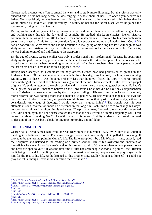George made a concerted effort to amend his ways and to study more diligently. But the reform was only outward and it was not long before he was forging 'a whole chain of lies'1 to once again deceive his father. Not surprisingly he was banned from living at home and so he announced to his father that he would pursue his studies at Halle university. In reality he headed for Nordhausen where he joined the gymnasium, living with its director.

During his two and half years at the gymnasium he worked harder than ever before, often rising at 4 am and working right through the day until 10 at night. He studied 'the Latin classics, French history, German literature, as well as a little Hebrew, Greek and mathematics'.2 However, by his own confession years later, in spite of this formal reformation 'there lay secret sin and utter alienation from God'.3 He had no concern for God's Word and had no hesitation in maligning or mocking His law. Although he was studying for the Christian ministry, in his three hundred reference books there was no Bible. The fact is, he was both ignorant of and indifferent to the Scriptures.

By the age of twenty, George Müller was truly a professional liar. 'Professional', because he spent time studying the part of an actor, precisely so that he could master the art of deception. On one occasion he played the part so well when pretending to be the victim of a violent robbery, that friends passed around the hat on his behalf to make up for his supposed loses.4

Having been accepted as a candidate for holy orders, George now had permission to preach in the Lutheran church. Of the twelve hundred students in the university, nine hundred, like him, were studying Divinity. But of these, it was thought, probably less than hundred 'feared the Lord'<sup>5</sup>. George himself knew nothing of the God of salvation and was ignorant of the most basic elements of the Christian gospel of grace. He seldom attended a worship service and had never heard a genuine gospel sermon. He hadn't the slightest idea what it meant to believe on the Lord Jesus Christ, nor did he have any comprehension that a Christian is someone who lives by God's help according to His word. As far as he was concerned, moral reformation was nothing more than a matter of expediency. He resolved to change his life-style for two reasons: "Unless I reformed, no parish would choose me as their pastor; and secondly, without a considerable knowledge of theology, I would never earn a good living".6 The trouble was, his own attempts at such reformation made no difference in the long run. Each time he tried to change his ways, he soon found himself indulging in his old vices. "Deep in my heart, I longed to renounce this wretched life, I did not enjoy it, and I had sense enough to see that one day it would ruin me completely. Still, I felt no sorrow about offending God".7 As with many of his fellow Divinity students, the formal, outward profession of piety was but a cloak for ongoing immorality and infidelity.

# **THE TURNING POINT**

George had a friend named Beta who, one Saturday night in November 1825, invited him to a Christian meeting in a believer's house. For some strange reason he immediately felt impelled to go along. It proved to be the turning point in Müller's life. The little group led—by a Mr Wagner—sang, prayed, read the Scriptures and listened to the reading of a printed sermon. Müller felt awkward and uncertain of himself but he never forgot Wagner's welcoming remark to him: "Come as often as you please; house and heart are open to you"8. It was the first time Müller had seen people *kneeling* in prayer—the Prussian habit being to stand for public prayer. This first impression of seeing people kneel to pray stayed with him for the rest of his life. As he listened to this brother pray, Müller thought to himself: "I could not pray as well, although I have more education than this man".9

<sup>1</sup> Dr A. T. Pierson. *George Muller of Bristol*. Pickering & Inglis., p22

<sup>2</sup> Basil Miller. George Muller—Man of Faith and Miracles. Bethany House. p9

<sup>3</sup> Dr A. T. Pierson. *George Muller of Bristol*. Pickering & Inglis. p23

<sup>4</sup> ibid., p24

<sup>5</sup> ibid., p26

<sup>6</sup> *The Autobiography of George Muller.* Whitaker House. 1984. p13

<sup>7</sup> ibid., p13

<sup>8</sup> Basil Miller. George Muller—Man of Faith and Miracles. Bethany House. p15

<sup>9</sup> *The Autobiography of George Muller.* Whitaker House. 1984. p16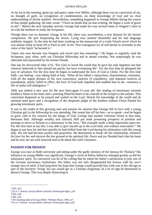As he sat in the meeting, great joy and peace came over Müller, although there was no conviction of sin, no thought of guilt, no recognition of condemnation, no deep knowledge of God and no clear understanding of divine realities. Nevertheless, something happened to George Müller during the course of that simple gathering. He later wrote: "I have no doubt that on that evening, He began a work of grace in me".1 Before the next Saturday arrived, George had made his way several times to Wagner's door to sit with the brethren to study the Scriptures.

Though there was no dramatic change in his life, there was, nevertheless, a new distaste for his former companions. He quit frequenting the tavern. Lying now seemed distasteful and his bad language suddenly stopped. At the time he had been working on the manuscript of a crude French novel which he was almost ready to head off to Paris to sell. In his 'first courageous act of self-denial in surrender to the voice of the Spirit' he burned it.2

'Open sins now became less frequent and secret sins less ensnaring'.3 He began to regularly read the Scriptures, pray often, seek out Christian fellowship and to attend worship. Not surprisingly he was ridiculed and reproached by his former friends.

One day he discovered John 3:16, "For God so loved the world that he gave his only begotten son that whoever believeth in him should not perish, but have everlasting life'. For the first time he glimpsed the way of salvation. For the first time he began to understand the love of God in Christ. For the first time faith—not feeling—was taking hold of him. 'What all his father's injunctions, chastisements, entreaties, with all the urgent dictates of his own conscience, motives of expediency, and repeated resolves of amendment, utterly failed to effect, the love of God both impelled and enabled him to do—renounce a life of sinful self-indulgence.<sup>'4</sup>

1826 was indeed a new year for the now born-again 21-year old. His reading of missionary journals kindled a flame in his heart and a yearning filled his heart to be a herald of the Gospel to the nations. This conviction deepened as he prayed and waited on the Lord. Slowly his knowledge of the world and its spiritual need grew and a recognition of the desperate plight of the heathen without Christ flamed his growing missionary spirit.

It was in the midst of this growing zeal and passion for mission that George fell in love with a young Christian girl in the fellowship he was attending. She swept him off his feet—so to speak—and he began to grow cold in his concern for the things of God. George had another Christian friend at that time, Hermann Ball. Although wealthy and cultured, Ball put aside promising prospects of position and prestige to move to Poland as a missionary to the Jews. "His example made a deep impression upon me. For the first time in my life, I was able to give myself up to the Lord fully and without reservation".<sup>5</sup> He began to see how far and how quickly he had drifted from the Lord during his infatuation with this young lady. His life had become joyless and prayerless. He determined to break off the relationship, renounce his love for her and retrieve the lost ground in his spiritual life. Peace and joy flooded back into his heart and he now set out with renewed zeal to be about the Lord's business.

### **PASSION FOR MISSION**

George was now at Halle university and sitting under the godly ministry of the famous Dr Tholuck.<sup>6</sup> His influence on young Müller was significant. George's circle of fellow believers enlarged greatly as did his missionary spirit. So convinced was he of his calling that he asked his father's permission to join one of the German missionary institutions. His father was not only disappointed but furious with his son's strange turn of mind. It had long been his hope that George would provide him with care in his old age as part of the lucrative 'living' his son would get as a German clergyman. In a fit of rage he threatened to disown George. This was deeply distressing to

 $<sup>1</sup>$  ibid., p16</sup>

<sup>2</sup> Dr A. T. Pierson. *George Muller of Bristol*. Pickering & Inglis., p34

<sup>3</sup> ibid., p34

<sup>4</sup> ibid., p36

<sup>5</sup> *The Autobiography of George Muller.* Whitaker House. 1984. p17

<sup>6</sup> Dr A. T. Pierson. *George Muller of Bristol*. Pickering & Inglis. p38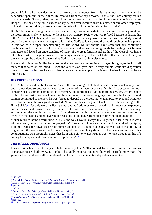young Müller who then determined to take no more money from his father nor in any way to be dependent upon him in the future. He resolved from that day onwards to trust the Lord entirely for his financial needs. Shortly after, he was hired as a German tutor by the American theologian Charles Hodge1 —the pay being far in excess of any he had ever received from his father or any other employer. "Thus did the Lord richly make up to me the little which I had relinquished for His sake".2

But Müller was becoming impatient and wanted to get going immediately with some missionary work for the Lord. Impulsively he applied to the Berlin Missionary Society but was refused because he lacked his father's consent.3 Other applications and offers for missionary work were met with similarly closed doors. In the months ahead he began to learn that God's guidance would come through believing prayer in relation to a deeper understanding of His Word. Müller should have seen that any continuing roadblocks as to what he should do or where he should go were good grounds for waiting. But he was immature and lacked an understanding of many of the great fundamental truths of the Gospel. He had a lot to learn. At this stage he was so set on being a missionary in the East Indies<sup>4</sup> that he was not ready to see and accept the unique life-work that God had purposed for him elsewhere.

It was at this time that Müller began to see the need to spend more time in prayer, bringing to the Lord all matters that were on his mind. From the outset God gave him 'a very simple, childlike disposition toward Himself'.5 In time he was to become a supreme example to believers of what it means to be an intercessor.

### **HIS FIRST SERMONS**

In 1826 he preached his first sermon. As a Lutheran theological student he was free to preach at any time, but had not done so because he was acutely aware of his own ignorance. On this first occasion he took someone else's sermon, committed it to memory and reproduced it at the morning service. Unfortunately for him he was asked to preach again in the afternoon to the same congregation! Since he had no second sermon committed to memory he was forced to depend on the Lord as he attempted to expound Matthew 5. To his surprise, he was greatly assisted. "Immediately as I began to teach.... I felt the anointing of the Holy Spirit".6 'Not only were his lips opened, but the Scriptures were opened too, his own soul expanded, and a peace and power, wholly unknown to his tame, mechanical repetitions of the morning, accompanied the simpler expositions of the afternoon, with this added advantage, that he talked on a level with the people and not over their heads, his colloquial, earnest speech riveting their attention'.7

Müller returned home determining: "This is the way I would always like to preach".<sup>8</sup> But would it work with educated, university trained congregations? "Because I did not yet understand the work of the Spirit, I did not realise the powerlessness of human eloquence".9 Doubts put aside, he resolved to trust the Lord to give him the words to say and to always speak with simplicity directly to the hearts and minds of his congregations. One biography notes that from this point onwards Müller was 'to rank throughout his life among the simplest and most scriptural of preachers'.10

# **THE HALLE ORPHANAGE**

It was during his time of study at Halle university that Müller lodged for a short time at the famous orphanage houses built by A.H. Franke. This godly man had founded the work in Halle more than 100 years earlier, but it was still remembered that he had done so in entire dependence upon God.

 $<sup>1</sup>$  ibid., p39</sup>

<sup>2</sup> Basil Miller. *George Muller—Man of Faith and Miracles*. Bethany House. p17

<sup>3</sup> Dr A. T. Pierson. *George Muller of Bristol*. Pickering & Inglis. p40

<sup>4</sup> ibid., p42

<sup>5</sup> ibid., p43

<sup>6</sup> *The Autobiography of George Muller.* Whitaker House. 1984. p19

<sup>7</sup> Dr A. T. Pierson. *George Muller of Bristol*. Pickering & Inglis. p45

<sup>8</sup> *The Autobiography of George Muller.* Whitaker House. 1984. p20

<sup>9</sup> ibid., p20

<sup>10</sup> Dr A. T. Pierson. *George Muller of Bristol*. Pickering & Inglis. p45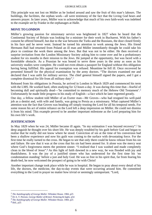This principle was not lost on Müller as he looked around and saw the fruit of this man's labours. The buildings, the facilities, the orphan work—all were testimony of the fact that the Living God hears and answers prayer. In later years, Müller was to acknowledge that much of his own faith-work was indebted to the example set by Franke in the orphanages at Halle.

### **MOVE TO LONDON**

Müller's growing passion for missionary service was heightened in 1827 when he heard that the Continental Society of Britain was looking for a minister for their work in Bucharest. With his father's consent he offered himself, but due to the war between the Turks and the Russians, the door closed firmly in his face and he never went. Instead he turned his attention to work among the Jews. His friend Hermann Ball had returned from Poland an ill man and Müller immediately thought he could take his place to continue the work there among the Jews. But that was not to be either. He then received a surprise invitation from the London Missionary Society asking him to come over and be a probationary student for six months in their mission to the Jews. He jumped at the opportunity, but was faced with a formidable obstacle. As a Prussian he was bound to serve three years in the army as soon as his university studies were complete. He could not even obtain a passport for England without this obligation having being fulfilled. His appeal for exemption was refused. Meantime he fell ill. Once recovered he presented himself for the physical examination by the army doctors. "The doctors examined me and declared that I was unfit for military service. The chief general himself signed the papers, and I got a complete dismissal for life from all military duty".1

Released from his obligations in Prussia, he arrived in London in March 1829 and commenced his term with the LMS. He worked hard, often studying for 12 hours a day. It was during this time that—fearful of becoming dull and spiritually dead—'he committed to memory much of the Hebrew Old Testament'.<sup>2</sup> Unfortunately he made little progress in his study of English—a fact which he later regretted greatly.

One day, a fellow student told Müller of an Exeter man—Mr Groves—who had resigned his well-paid job as a dentist and, with wife and family, was going to Persia as a missionary. What captured Müller's attention was the fact that Groves was heading off simply trusting the Lord for all his temporal needs. For some reason his act of entire reliance on the Lord left a deep impression on Müller. He could not dismiss it from his mind. This example proved to be another important milestone as the Lord preparing him for his own life's work.

# **JUSTIFICATION**

In May 1829 when he was 24, Müller became ill again. "In my estimation I was beyond recovery".<sup>3</sup> In deep anguish he thought over his short life. He was deeply troubled by his guilt before God and began to realise that he really did not know where he stood. Conviction of sin at the time of his conversion had been a shallow experience and now his guilt was coming to the surface with devastating force. For the first time he really turned to the cross. He began to see that only there could he know release from his sin and failure. He saw that it was at the cross that his sin had been atoned for. It alone was the mercy seat where God's forgiveness meets the penitent sinner. "I realised that I was washed and made completely clean in the blood of Jesus".4 As this light of faith dawned in a new way, he was flooded with joy and thankfulness. It was the joy of a justified sinner who has understood for the first time his 'no condemnation standing' before a just and holy God. He was so free in his spirit that, far from fearing his death-bed, he now welcomed the prospect of going to be with Christ!

Another important change took place while he was in hospital. He began to pray about every detail of his life, the doctors, the medicine, the day-to-day events that were occurring around him. He committed everything to the Lord in prayer no matter how trivial or seemingly unimportant. "Lord,

<sup>1</sup> *The Autobiography of George Muller.* Whitaker House. 1984. p25

<sup>2</sup> Dr A. T. Pierson. *George Muller of Bristol*. Pickering & Inglis. p54

<sup>3</sup> *The Autobiography of George Muller.* Whitaker House. 1984. p25

 $4$  ibid., p25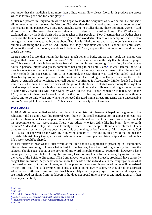you know that this medicine is no more than a little water. Now please, Lord, let it produce the effect which is for my good and for Your glory".<sup>1</sup>

Müller recuperated in Teignmouth where he began to study the Scriptures as never before. He put aside all commentaries and just read the Word of God day after day. It is hard to estimate the importance of this change in his perspective. Many new insights came to Müller during these important weeks. "God showed me that His Word alone is our standard of judgment in spiritual things. The Word can be explained only by the Holy Spirit who is the teacher of His people..... Now I learned that the Father chose us before the foundation of the world. He originated the wonderful plan of our redemption, and He also arranged the way it was to be brought about. The Son fulfilled the law and bore the punishment due to our sins, satisfying the justice of God. Finally, the Holy Spirit alone can teach us about our sinful state, show us the need of a Saviour, enable us to believe in Christ, explain the Scriptures to us, and help us preach the Word".2

George returned to London noting that he was "much better in body, and as to my soul, the change was so great that it was like a second conversion".3 No sooner was he back in the city than he started a prayer and Bible study with his fellow students from six until eight each morning. In addition, he often spent hours in personal prayer and praise, sometimes not going to bed until 2 am.<sup>4</sup> It was then that he felt a growing reluctance to accept the strictures of the LMS in the way they called men to the mission-field. Their methods did not seem to him to be Scriptural. He saw that it was God who called Paul and Barnabas by giving them a passion for the work and a clear leading as to His purposes for them. The church at Antioch did not originate their call but only confirmed it. Accordingly, Müller decided to begin immediately the pursuit of his own sense of obligation to the Jews. He started work among them right on his doorstep in London, distributing tracts to any who would take them. He read and taught the Scriptures to some fifty Jewish lads who came week by week to the small classes which he initiated. As for the LMS, he put it to them that he would work for them only if they agreed to allow him to serve without a salary, and to go only when and where he believed the Lord might direct. His terms were unacceptable and so "in complete kindness and love"<sup>5</sup> his ties with the Society were terminated.

# **PASTORATE**

In 1830 Müller was invited to take the place of a minister at Ebenezer Chapel in Teignmouth. He reluctantly did so and began his pastoral work there in the small congregation of about eighteen. His greatest embarrassment was his poor command of English, and no doubt there were some who resented his appointment on that score alone. There were others who just didn't like his blunt, down-to-earth sermons! "I decided to stay until I was formally rejected..... Some people left and never returned. Others came to the chapel who had not been in the habit of attending before I came...... Most importantly, God set His seal of approval on the work by converting sinners".<sup>6</sup> It was during this period that he met the Scottish Hebraist Henry Craik, a man with whom he was to develop a deep friendship and with whom his life's work would be shared.

It is instructive to hear what Müller wrote at the time about his approach to preaching in Teignmouth. "Rather than presuming to know what is best for the hearers, I ask the Lord to graciously teach me the subject I should speak about, or the portion of His Word I should explain..... Frequently, however, I have no subject in my mind before I pray. In this case, I wait on my knees for an answer, trying to listen for the voice of the Spirit to direct me.....The Lord always helps me when I preach, provided I have earnestly sought Him in private. A preacher cannot know the hearts of the individuals in the congregation or what they need to hear. But the Lord knows; and if the preacher renounces his own wisdom, he will be assisted by the Lord. But if he is determined to choose a subject in his own wisdom, he should not be surprised when he sees little fruit resulting from his labours....My chief help is prayer.....no one should expect to see much good resulting from his labours if he does not spend time in prayer and meditation..... I then leave myself entirely

 $<sup>1</sup>$  ibid., p26</sup>

 $2$  ibid.,  $p26$ 

<sup>3</sup> Basil Miller. *George Muller—Man of Faith and Miracles*. Bethany House. p23

<sup>4</sup> Dr A. T. Pierson. *George Muller of Bristol*. Pickering & Inglis. p58

<sup>5</sup> *The Autobiography of George Muller.* Whitaker House. 1984. p28

 $6$  ibid., p30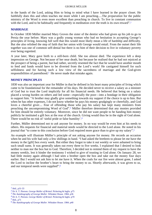in the hands of the Lord, asking Him to bring to mind what I have learned in the prayer closet. He faithfully does this and often teaches me more while I am preaching.....The *preparation* for the public ministry of the Word is even more excellent than preaching in church. To live in constant communion with the Lord, and to be habitually and frequently in meditation over the truth is its own reward".<sup>1</sup>

## **MARRIAGE**

In October 1830 Müller married Mary Groves the sister of the dentist who had given up his job to go to Persia the year before. Mary was a godly young woman who had no hesitation in accepting George's principles of living, knowing full well that this would most likely mean a life of hardship and difficulty. But she also relished the step of faith that her union with George would entail. From the outset their life together was one of common self-denial but there is no hint of their decision to live in voluntary poverty ever being regretted.

A year later, Mary gave birth to a still-born child. She too almost died. The experience left a deep impression on George. Not because of her near death, but because he realised that he had not rejoiced at the prospect of being a parent, but had rather, secretly resented the fact that he would have another mouth to feed and funds would have to be diverted from the Lord's work! He castigated himself for such selfishness and for having such a low view of the sacredness of marriage and the God-given responsibilities of parenthood.2 He never made that mistake again.

## **MONEY PRINCIPLES**

1830 was also an important year for Müller in that he defined in his heart many principles of living which came to be foundational for the remainder of his days. He decided never to receive a salary as a minister of God but to trust the Lord implicitly for all his financial needs. He believed that being on a salary placed a wrong burden on others and led some—especially the poor—into a bondage in their obligation to support him. "A brother may gladly give something towards my support if the choice is up to him. But when he has other expenses, I do not know whether he pays his money grudgingly or cheerfully, and God loves a cheerful giver.... Fear of offending those who pay his salary has kept many ministers from preaching the uncompromising Word of God".3 Müller therefore determined that any monies provided for him should be entirely voluntary. Moreover, since he did not want people to be handing him money publicly he instituted a gift box at the rear of the church. Giving would thus be in the sight of God alone. There would be no risk of 'sinful pride or false humility'.4

Further, Müller determined not to *ask* anyone for money. In no way would he even hint at his needs to others. His requests for financial and material needs would be directed to the Lord alone. He noted in his journal that "to come to this conclusion before God required more grace than to give up my salary".5

An example will illustrate Müller's principle of not asking anyone for money. He records an occasion when he and his wife had only a few shillings in hand. "I had asked the brethren to please let me have the money in the [gift] box every week. But either they forgot to take it out weekly or were ashamed to bring such small sums. It was generally taken out every three to five weeks. I explained that I desired to look neither to man nor the box but to God. Therefore, I decided not to remind them of my request to have the money weekly, lest it hinder the testimony I wished to give of trusting in God alone. On January 28, we had little money again although I had seen a brother open the box and take out the money four days earlier. But I would not ask him to let me have it. When the coals for our fire were almost gone, I asked the Lord to incline the brother's heart to bring the money to us. Shortly afterwards, it was given to us, and our temporal needs were supplied".6

 $1$  ibid., p31-33

<sup>2</sup> Dr A. T. Pierson. *George Muller of Bristol*. Pickering & Inglis. p75

<sup>3</sup> *The Autobiography of George Muller.* Whitaker House. 1984. p36

<sup>4</sup> Dr A. T. Pierson. *George Muller of Bristol*. Pickering & Inglis. p70 5 ibid., p71

<sup>6</sup> *The Autobiography of George Muller.* Whitaker House. 1984. p40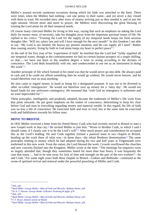Müller's journal records numerous occasions during which his faith was stretched to the limit. There were times when the Müllers had nothing—not one penny to their name—and yet never a day closed with them in want. He recorded story after story of money arriving just as they needed it, and in just the right amount. Driven more and more to prayer, the Müllers were discovering the great blessing of trusting the Lord alone for all their temporal needs.

Of course many criticised Müller for living in this way, saying that such an emphasis on asking the Lord daily for money must, of necessity, take his thoughts away from the important *spiritual* issues of life. He replied to his critics: "Trusting the Lord for the supply of my temporal needs keeps me from anxious thoughts like: 'Will my salary last and will I have enough for the next month?' In this freedom I am able to say: 'My Lord is not limited. He knows my present situation, and He can supply all I need'. Rather than causing anxiety, living by faith in God alone keeps my heart in perfect peace".1

At the end of the first year of his 'experiment of faith' he testified that the Lord had "richly supplied all our temporal wants, though at the commencement we had no certain human prospect of a single shilling, so that......we have not been in the smallest degree a loser in acting according to the dictates of conscience. The Lord dealt bountifully with me, and condescended to use me as an instrument in doing His work".<sup>2</sup>

Another principle of life which formed in his mind was that he would never go into debt. He always paid in cash and if he could not afford something then he would go without. He would never borrow, and he would therefore owe no man anything.

He also came to regard money in hand as being for a designated purpose. It was not to be diverted to other so-called 'emergencies'. He would not therefore save up money for a 'rainy day'. He would not hoard funds for any unforseen contingency. He reasoned that 'with God no emergency is unforseen and no want unprovided for'.3

These principles, intelligently and prudently adopted, became the trademark of Müller's life work from that point onwards. He put great emphasis on the matter of conscience, determining to keep *his* clear before God and man in everything regarding money and material wealth. In this regard, his life of faith was no less a life of conscience. He exercised faith and trust in God, but at the same time he exercised truth and faithfulness towards his fellow man.

### **MOVE TO BRISTOL**

In 1832 Müller received a letter from his friend Henry Craik who had recently moved to Bristol to start a new Gospel work in that city.4 He invited Müller to join him. "Wrote to Brother Craik, in which I said I should come, if I clearly saw it to be the Lord's will".<sup>5</sup> After much prayer and consideration he accepted this as the Lord's leading. He and Craik together formed a pastoral team in two chapels in Bristol, heading up the work there of what was—in those days—the infant Brethren denomination.<sup>6</sup> The same principles relating to money which he had adopted during his two and half years at Teignmouth were enshrined in this new work. From the outset, the Lord blessed the work. Crowds overflowed the churches and new converts flocked into the Kingdom. Müller wrote at the time: "The meetings for enquirers were so largely attended that, though they sometimes lasted for more than four hours, it was frequently the case that many..... had to be sent away for lack of time and strength on the part of the two workers"—he and Craik.7 For some eight years both these chapels in Bristol—Gideon and Bethesda—continued as the scene of spiritual revival and renewal under the powerful preaching of Müller and Craik.

 $<sup>1</sup>$  ibid., p41</sup>

<sup>2</sup> Basil Miller. *George Muller—Man of Faith and Miracles*. Bethany House. p29

<sup>3</sup> Dr A. T. Pierson. *George Muller of Bristol*. Pickering & Inglis. p76

<sup>4</sup> ibid., p93

<sup>5</sup> Basil Miller. *George Muller—Man of Faith and Miracles*. Bethany House. p33

<sup>6</sup> F. F. Bruce. Internet article on Muller

<sup>7</sup> Basil Miller. *George Muller—Man of Faith and Miracles*. Bethany House. p36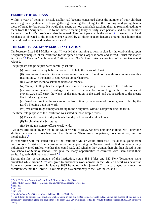### **FEEDING THE ORPHANS**

Within a year of being in Bristol, Müller had become concerned about the number of poor children wandering the city streets. He began gathering them together at eight in the mornings and giving them a piece of bread for breakfast. He would then spend an hour and a half teaching them to read and reading to them from the Scriptures.1 'He found himself feeding thirty or forty such persons, and as the number increased the Lord's provisions also increased. One kept pace with the other".2 However, the local residents so objected to the inconvenience caused by all these beggars hanging around their homes that the work had to be abandoned—temporarily!

# **THE SCRIPTURAL KNOWLEDGE INSTITUTION**

On February 21st 1834 Müller wrote: "I was led this morning to form a plan for the establishing, upon Scriptural principles, of an institution for the spread of the Gospel at home and abroad. I trust this matter is of God".3 Thus, in March, he and Craik founded *The Scriptural Knowledge Institution For Home and Abroad*.

The purposes and principles were carefully set out:<sup>4</sup>

(i) We consider every believer bound...... to help the cause of Christ.

(ii) We never intended to ask unconverted persons of rank or wealth to countenance this Institution.... In the name of God we set up our banners.

(iii) We do not mean to ask unbelievers for money.

(iv) We reject altogether the help of unbelievers in managing..... the affairs of the Institution.

(v) We intend never to enlarge the field of labour by contracting debts......but in secret prayer.....we shall carry the wants of the Institution to the Lord, and act according to the means that God shall give us.

(vi) We do not reckon the success of the Institution by the amount of money given...... but by the Lord's blessing upon the work.

(vii) We desire to go simply according to the Scriptures, without compromising the truth.

The three-fold purpose of the Institution was stated in these simple terms:

(i) The establishment of day-schools, Sunday schools and adult schools.

(ii) To circulate the Scriptures

(iii) To aid missionary efforts world-wide.

Two days after founding the Institution Müller wrote: '"Today we have only one shilling left"—only one shilling between two preachers and their families. There were no patrons, no committees, and no membership'.5

In connection with the stated aims of the Institution Müller would often visit Bristol folk, going from door to door. "I visited from house to house the people living on Orange Street, to find out whether any individuals wanted Bibles, whether they could read, and whether they wanted their children placed in our day schools or Sunday school. This gave me many opportunities to converse with them about their souls....I greatly delight in such work".6

During the first seven months of the Institution, some 482 Bibles and 520 New Testaments were circulated while around £577 was given to missionary work abroad. In fact Müller's heart was never far from missionary concerns. In January 1835 he noted in his journal: "I have.... prayed very much to ascertain whether the Lord will have me to go as a missionary to the East Indies, and I

<sup>1</sup> Dr A. T. Pierson. *George Muller of Bristol*. Pickering & Inglis. p104

<sup>2</sup> Basil Miller. *George Muller—Man of Faith and Miracles*. Bethany House. p37

<sup>3</sup> ibid., p37

<sup>4</sup> ibid., p38

<sup>5</sup> ibid., p39

<sup>6</sup> *The Autobiography of George Muller.* Whitaker House. 1984. p64

 $<sup>7</sup>$  It is difficult to estimate how much an English pound in the mid 1800s would be worth today, but for the purpose of this paper, a</sup> conservative estimate suggests one pound then to be about \$200-250 (Australian) today. £57 would therefore be around \$A13,000 in today's money.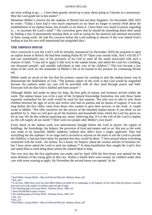am most willing to go...... I have been greatly stirred up to pray about going to Calcutta as a missionary. May the Lord guide me in this matter".<sup>1</sup>

Meantime Müller's concern for the orphans of Bristol had not been forgotten. On November 20th 1835 he wrote: "Today I have had it very much impressed on my heart no longer to merely *think* about the establishment of an orphan house, but actually to set about it. I have been very much in prayer regarding it..... to ascertain the Lord's mind".2 His conviction grew that he should do something about their needs by finding a way of permanently housing them as well as caring for the material and spiritual necessities of these young waifs. He laid his concerns before the Lord seeking to discern if this was indeed God's leading or just his own well-intentioned but misguided idea.<sup>3</sup>

# **THE ORPHAN HOUSE**

Once convinced it was the Lord's will he formally announced (in December 1835) his proposal to open an orphan house in Bristol. He had been reading Psalm 81:10 "Open your mouth wide, And I will fill it"4 and was immediately sure of the provision of his God to meet all the needs associated with such a venture of faith. "I was led to apply it [the text] to the orphan house, and asked the Lord for a building, one thousand pounds<sup>5</sup>, and suitable individuals to take care of the children".<sup>6</sup> This text became a key motto of the work for the remainder of Müller's life as he trusted in the promise for continuing Divine aid.

Müller made no secret of the fact that his *primary* reason for wanting to start the orphan house was to demonstrate the faithfulness of God. "The primary object of the work is that God would be magnified because the orphans under my care will be provided with all they need through prayer and faith. Everyone will see that God is faithful and hears prayer".7

Although Müller had made no pleas for help, the first gifts of money and furniture arrived within the week. The orphan house was to be a part of the Scriptural Knowledge Institution, but only those funds expressly earmarked for the work would be used for that purpose. The plan was to take in only those children between the ages of seven and twelve who had no parents and no means of support. It was not long before the first offers came from those who wanted to give their services to the work. A couple wrote to Müller: "We offer ourselves for the service of the intended orphan house, if you think we are qualified for it. Also we will give up all the furniture and household items which the Lord has given us, for its use. We do this without expecting any salary, believing that, if it is the will of the Lord to employ us, He will supply all our needs".8 Here were two people after Müller's own heart!

Every detail of the orphan work was meticulously brought before the Lord in prayer: the supply of buildings, the furnishings, the helpers, the provision of food and money and so on. But just as the work was ready to be launched, Müller suddenly realised they didn't have a single applicant! They had everything but the orphans! At no stage had it occurred to anyone on the team to ask the Lord to provide the children; it had just been taken for granted that they would be there. "I have prayed about everything connected with the work—for money, for a house, for helpers, about the various articles of furniture etc, but I have never asked the Lord to send me orphans."9 In deep humiliation they sought the Lord's face and asked Him to send along those whom He wanted them to help.

The very next day the first application was made, and by April 1836 the first house was opened for the most destitute of the young girls in that city. Within a month there were twenty six children under their care with more wanting to apply. By November the second house was opened. At the

<sup>1</sup> Basil Miller. *George Muller—Man of Faith and Miracles*. Bethany House. p41

 $<sup>2</sup>$  ibid., p43</sup>

<sup>&</sup>lt;sup>3</sup> In the early 1800s there were less than 4000 children provided for in orphanages in all England. On the other hand the prisons contained more than twice that number of children under the age of eight.

<sup>4</sup> *The Autobiography of George Muller.* Whitaker House. 1984. p74

<sup>5</sup> About \$A230,000 in today's money.

<sup>6</sup> *The Autobiography of George Muller.* Whitaker House. 1984. p74

<sup>7</sup> ibid., p73

<sup>8</sup> ibid., p75

<sup>9</sup> Basil Miller. *George Muller—Man of Faith and Miracles*. Bethany House. p47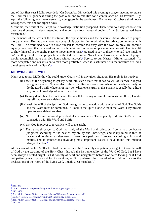end of that first year Müller recorded: "On December 31, we had this evening a prayer meeting to praise the Lord for His goodness during the past year, and to ask Him for a continuance of His favours".1 By April the following year there were sixty youngsters in the two houses. By the next October a third house was opened, this one for orphan boys.

Meantime, the work of the Scriptural Knowledge Institution prospered. There were four day schools with over one thousand students attending and more than four thousand copies of the Scriptures had been distributed.2

The demands of the work at the Institution, the orphan houses and the pastorate, drove Müller to prayer more than ever. He saw anew how indispensable it was for him to withdraw for private communion with the Lord. He determined never to allow himself to become too busy with the work to pray. He became equally convinced that he who does not first hide himself in the secret place to be alone with God is unfit to show himself in the public place to move among men.3 He used to say to those who had 'too much to do' that they should spend proper time with God. In his mind, 'four hours of work after an hour of prayer would accomplish more than five hours without prayer'.<sup>4</sup> Service to our Master—Müller reasoned—'is more acceptable and our mission to man more profitable, when it is saturated with the moisture of God's blessing—the dew of the Spirit'.5

# **KNOWING GOD'S WILL**

Many used to ask Müller how he could know God's will in any given situation. His reply is instructive:

- (i) I seek at the beginning to get my heart into such a state that it has no will of its own in regard to a given matter. Nine-tenths of the difficulties are overcome when our hearts are ready to do the Lord's will, whatever it may be. When one is truly in this state, it is usually but a little way to the knowledge of what His will is.
- (ii) Having done this, I do not leave the result to feeling or simple impressions. If so, I make myself liable to great delusions.
- (iii) I seek the will of the Spirit of God through or in connection with the Word of God. The Spirit and the Word must be combined. If I look to the Spirit alone without the Word, I lay myself open to great delusions also.
- (iv) Next, I take into account providential circumstances. These plainly indicate God's will in connection with His Word and Spirit.
- (v) I ask God in prayer to reveal His will to me aright.
- (vi) Thus through prayer to God, the study of the Word and reflection, I come to a deliberate judgment according to the best of my ability and knowledge, and if my mind is thus at peace, and continues so after two or three more petitions, I proceed accordingly. In trivial matters and in transactions involving most important issues, I have found this method always effective.6

At the close of his life Müller testified that in so far as he "sincerely and patiently sought to know the will of God by the teaching of the Holy Ghost through the instrumentality of the Word of God, but I have been always directed aright. But if honesty of heart and uprightness before God were lacking, or if I did not patiently wait upon God for instructions, or if I preferred the counsel of my fellow men to the declarations of the Word of the living God, I made great mistakes".7

 $1$  ibid., p48

<sup>2</sup> Dr A. T. Pierson. *George Muller of Bristol*. Pickering & Inglis. p128

<sup>3</sup> ibid., p130

<sup>4</sup> Basil Miller. *George Muller—Man of Faith and Miracles*. Bethany House. p49

<sup>5</sup> Dr A. T. Pierson. *George Muller of Bristol*. Pickering & Inglis., p130

<sup>6</sup> Basil Miller. *George Muller—Man of Faith and Miracles*. Bethany House. p50

<sup>7</sup> ibid., p50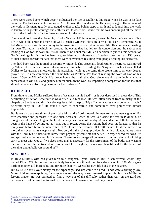# **THREE BOOKS**

There were three books which deeply influenced the life of Müller at this stage when he was in his late twenties. The first was the testimony of A.H. Franke, the founder of the Halle orphanages. His account of the work in Germany greatly encouraged Müller to take bolder steps of faith and to launch into the work in Bristol with greater courage and enthusiasm. It was from Franke that he was encouraged all the more to trust the Lord solely for the finances needed for the work.

The second book was the biography of John Newton. Müller was very moved by Newton's account of his life in which the grace and mercy of God to such a wretched slave-trader was so clearly demonstrated. It led Müller to give similar testimony to the sovereign love of God in his own life. He commenced writing his own 'Narrative' in which he recorded the events that had led to his conversion and the subsequent leading of God for the work in Bristol. There is no doubt that Müller's decision to publish this account of God's dealings in his life has been a great blessing to thousands of readers over the past 150 years. Müller himself records the fact that there were conversions resulting from people reading his Narrative.

The third book was the journal of George Whitefield. This especially fired Müller's heart. He was moved by Whitefield's unusual prayerfulness as also his habit of reading the Scriptures on his knees. It led Müller to far greater earnestness in his preaching while at the same time drove him to an ever deeper prayer life. He now commenced the same habit as Whitefield's: that of reading the word of God on his knees. "George Whitefield's life drove home the truth that God alone could create in him a holy earnestness to win souls and qualify him for such divine work by imparting a compassion for the lost that should become an absorbing passion for their salvation".1

# **ILL HEALTH**

From time to time Müller suffered from a 'weakness in his head'—as it was described in those days. This debilitating affliction (whatever it was) often laid him low. He was often absent from ministry at the chapels on Sundays and this fact alone grieved him deeply. "My affliction causes me to be very irritable" he wrote early in 1838.2 He found it hard to concentrate, and sometimes even prayer was almost impossible.

But it was also at these times of physical trial that the Lord showed him new truths and new sights of His own character and purposes. On one such occasion, when he was laid aside for rest in Plymouth, he thought about the need to give the Lord the very best hours of his day. As a student in Halle he had once been in the habit of getting up at 4 am, but in recent years, this routine had been moderated so that he rarely rose before 6 am or more often, at 7. He now determined, ill health or not, to allow himself no more than seven hours sleep a night. Not only did this change provide him with prolonged hours alone with the Lord, but he also found himself not physically worse off but better! He experienced renewed life and spiritual vitality as a result. He wrote: "I want to encourage all believers to get into the habit of rising early to meet with God....If we sleep more than is necessary for the refreshment of the body, it is wasting the time the Lord has entrusted to us to be used for His glory, for our own benefit, and for the benefit of the saints and unbelievers around us".3

# **NEW TRIALS**

In 1832 Müller's wife had given birth to a daughter, Lydia. Then in 1834 a son arrived, whom they named Elijah. Within the year he suddenly became very ill and died four days later. In 1838 Mary gave birth to another still-born babe, and for more than two weeks her own life hung in the balance.

But by 1838 a crisis over money for the orphanages had also come to a head. Funds were alarmingly low. More children were applying for acceptance and the way ahead seemed impossible. It drove Müller to fervent prayer. He was tempted to find a way out of the difficulty rather than wait on the Lord for deliverance. But he saw that to trust in expedients of his own would not only hinder

<sup>1</sup> Dr A. T. Pierson. *George Muller of Bristol.* Pickering & Inglis. p138

<sup>2</sup> *The Autobiography of George Muller.* Whitaker House. 1984. p90

<sup>3</sup> ibid., p117-118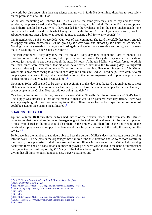the work, but also undermine their experience and growth in faith. He determined therefore to 'rest solely on the promise of a faithful God'.1

As he was meditating on Hebrews 13:8, 'Jesus Christ the same yesterday, and to day and for ever', suddenly, the present need of the Orphan Houses was brought to his mind: "Jesus in His love and power has hitherto supplied me with what I have needed for the Orphans, and in the same unchangeable love and power He will provide with what I may need for the future. A flow of joy came into my soul..... About one minute later a letter was brought to me, enclosing a bill for twenty pounds<sup>243</sup>

On September 5th, 1838 he recorded: "Our hour of trial continues. The Lord mercifully has given enough to supply our daily necessities. But he gives *by the day* now, and almost *by the hour*, as we need it. Nothing came in yesterday. I sought the Lord again and again, both yesterday and today, and it seems that He is saying, 'My hour is not yet come'".4

The trial continued. Every day they met for prayer. Every day they sought the Lord to honour His promise not to forsake the fatherless, but to provide for their needs. Every day they saw a tiny trickle of money, just enough to get them through the next 24 hours. Although Müller was often forced to admit that their funds were exhausted, that situation never carried over into the following day. By nightfall there was always just enough money sufficient for the next morning. Hence, on September 17th, Müller wrote: "It is now more trying to our faith each day, but I am sure God will send help, if we wait. Several people gave us a few shillings which enabled us to pay the current expenses and to purchase provisions so that nothing in any way has been lacking".<sup>5</sup>

November 10th: "All seemed to be dark at the beginning of this day. But the Lord has enabled us to meet all financial demands. One more week has ended, and we have been able to supply the needs of ninetyseven people in the Orphan Houses, without going into debt".<sup>6</sup>

One biographer notes that during these early years Müller 'literally fed the orphans out of God's hand. The supply was almost like that of the manna in that it was to be gathered each day afresh. There was scarcely anything left over from one day to another. Often money had to be prayed in before breakfast could be eaten or the evening meal finished'.7

# **SHARING THE LOAD**

Up until autumn 1838 only three or four had known of the financial needs of the ministry. But Müller came to see that the workers in the orphanages ought to be told and thus drawn into the circle of prayer. 'Those who shared in the toils should also share in the prayers, and therefore in the knowledge of the needs which prayer was to supply. Else how could they fully be partakers of the faith, the work, and the reward?'8

By broadening the number of shoulders able to bear the burden, Müller's decision brought great blessing into the work. The helpers in the orphanages now knew of the true situation and so were more careful in their work, more prayerful in their concern, and more diligent in their own lives. Müller held nothing back from them and so a considerable number of praying believers were added to the band of intercessors that 'gave God no rest day or night'.9 Many of the helpers began giving as never before. 'It was in thus giving that all these helpers found also new power, assurance and

<sup>1</sup> Dr A. T. Pierson. *George Muller of Bristol.* Pickering & Inglis. p148

<sup>2</sup> About \$A4,600 in today's money.

<sup>3</sup> Basil Miller. *George Muller—Man of Faith and Miracles*. Bethany House. p53

<sup>4</sup> *The Autobiography of George Muller.* Whitaker House. 1984. p94

<sup>5</sup> ibid., p100

<sup>6</sup> ibid., p104

<sup>7</sup> Basil Miller. *George Muller—Man of Faith and Miracles*. Bethany House. p56

<sup>8</sup> Dr A. T. Pierson. *George Muller of Bristol.* Pickering & Inglis. p154

<sup>9</sup> ibid., p155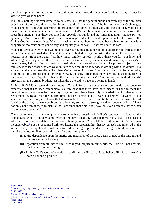blessing in praying; for, as one of them said, he felt that it would scarcely be "upright to pray, except he were to give what he had".<sup>1</sup>

In all this, nothing was ever revealed to outsiders. Neither the general public nor even any of the children ever knew of the day-to-day situation in regard to the financial state of the Institution or the Orphanages. Müller and his team were determined to prove the faithfulness of their God. Having said that, Müller did make public, at regular intervals, an account of God's faithfulness in maintaining the work over the preceding months. But these contained no appeals for funds and no hints that might induce pity or sympathy. Müller hoped the reports would encourage readers to embark upon a new level of trust in the Living God in their own lives. Many an outsider assumed there must have been a band of very wealthy supporters who contributed generously and regularly to the work. That was never the case.

Müller received a letter from a German believer during this 1838 period of acute financial distress in the work. The letter acknowledged that Müller never solicited money, but asked that he tell the writer if they needed money right then, and if so, how much. Müller replied: "While I thank you for your love, and while I agree with you that there is a difference between *asking for money* and *answering when asked*, nevertheless, I do not feel at liberty to speak about the state of our funds. The primary object of this ministry is to lead those who are weak in faith to see that there is *reality* in dealing with God *alone*".2 No sooner had the letter been dispatched than Müller was on his knees. "Lord, you know that, for Your sake, I did not tell this brother about our need. Now, Lord, show afresh that there is reality in speaking to You only about our need. Speak to this brother, so that he may help us".<sup>3</sup> Within days, a hundred pounds<sup>4</sup> arrived from the German brother, just when the work didn't have one penny in hand!

In July 1845 Müller gave this testimony: "Though for about seven years, our funds have been so exhausted that it has been comparatively a rare case that there have been means in hand to meet the necessities of the orphans for three days together, yet I have been only once tried in spirit, that was on September 18, 1838, when for the first time the Lord seemed not to regard our prayer. But when He did send help at that time, and I saw that it was only for the trial of our faith, and not because He had forsaken the work, that we were brought so low, my soul was so strengthened and encouraged that I have not only not been allowed to distrust the Lord since that time, but I have not even been cast down when in the deepest poverty".5

There were many in his day (and since) who have questioned Müller's approach in funding the orphanages. What if the day came when no money turned up? What if there was actually an occasion when no food was available for the many hungry mouths? For Müller, failure on God's part was inconceivable.6 But he recognised only too keenly the responsibility that lay on each one involved in the work. Clearly the supplicants must come to God in the right spirit and with the right attitude of heart. He therefore advocated five basic principles for prevailing prayer.7

- (i) Entire dependence upon the merits and mediation of the Lord Jesus Christ, as the only ground for any claim for blessing.
- (ii) Separation from all known sin. If we regard iniquity in our hearts, the Lord will not hear us, for it would be sanctioning sin.
- (iii) Faith in God's word of promise as confirmed by His oath. Not to believe Him is to make Him both a liar and a perjurer.

 $<sup>1</sup>$  ibid., p158</sup>

<sup>2</sup> *The Autobiography of George Muller.* Whitaker House. 1984. p122

<sup>3</sup> ibid., p123

<sup>4</sup> About \$A23,000 in today's money.

<sup>5</sup> Dr A. T. Pierson. *George Muller of Bristol.* Pickering & Inglis., p167

<sup>6</sup> ibid., p169

<sup>7</sup> ibid., p170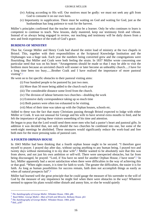- (iv) Asking according to His will. Our motives must be godly: we must not seek any gift from God to consume it on our own lusts.
- (v) Importunity in supplication. There must be waiting on God and waiting for God, just as the husbandman has long patience to wait for the harvest.

Müller's principles confirmed that the teacher must also be a learner. Only he who continues to learn is competent to continue to teach. New lessons, daily mastered, keep our testimony fresh and vibrant. Instead of us always being engaged in review, our teaching and testimony will be daily drawn from a new and fresh experience of the truth of God's grace.

# **BURDENS OF MINISTRY**

Thus far, George Müller and Henry Craik had shared the entire load of ministry at the two chapels in Bristol. This, together with their responsibilities at the Scriptural Knowledge Institution and the Orphanages was a huge task. Each year the numbers being converted grew and the congregations were flourishing. But Müller and Craik were both feeling the strain. In 1837 Müller wrote concerning one particular need that was on his heart: "Arrangements should be made so that I may be able to visit the brethren more because an unvisited church will sooner or later become an unhealthy church.....I have for a long time been too busy......Brother Craik and I have realised the importance of more pastoral visiting".<sup>1</sup>

He went on to list specific obstacles to their pastoral visiting aims:

- (i) Four hundred people to be pastored by just two men.
- (ii) More than 50 more being added to the church each year
- (iii) The considerable distance some lived from the church.
- (iv) The division of labour between two churches—doubling the work
- (v) Extensive daily correspondence taking up so much time
- (vi) Both pastors were often too exhausted to be visiting.
- (vii) Most of their time was taken up with the Orphan houses, schools etc.

Added to these was the fact that many Christians passing through Bristol expected to lodge with either Müller or Craik. It was not unusual for George and his wife to have several extra mouths to feed, and he felt the importance of giving these visitors something of his time and attention.

He began to pray that the Lord would send them more men who had a pastor's heart and pastoral gifts. In addition it was decided that, not only should the two churches be combined into one, but some of the week-night meetings be abolished. These measures would significantly reduce the work-load and free both men for the more pressing tasks of pastoral care.

# **A FOURTH ORPHAN HOUSE**

In 1843 Müller had been thinking that a fourth orphan house ought to be secured. "I therefore gave myself to prayer. I prayed day after day, without saying anything to any human being. I prayed two and twenty days without mentioning it to my dear wife".2 Müller wanted to be absolutely sure that this was from above, and not just his own ambition or self-will. There were unexpected obstacles, but far from being discouraged, he prayed: "Lord, if *You* have no need for another Orphan House, *I* have none".3 In fact, Müller apparently had a secret satisfaction when there were difficulties in the way of achieving this or that goal. "When sight ceases, it is time for faith to work. The greater the difficulties, the easier it is for faith. As long as human possibilities for success remain, faith does not accomplish things as easily as when all natural prospects fail".4

Müller had learned well the great principle that he could gauge the measure of his surrender to the will of God by the measure of any impatience he might feel when there were obstacles in the way! Whatever seemed to oppose his plans would either disturb and annoy him, or else he would quietly

<sup>1</sup> *The Autobiography of George Muller.* Whitaker House. 1984. p86

<sup>2</sup> Basil Miller. *George Muller—Man of Faith and Miracles*. Bethany House. p61

<sup>3</sup> *The Autobiography of George Muller.* Whitaker House. 1984. p168

<sup>4</sup> ibid., p187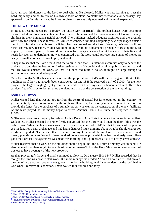leave all such hindrances to the Lord to deal with as He pleased. Müller was fast learning to trust the Lord implicitly, and not to rely on his own wisdom or plans, no matter how reasonable or necessary they appeared to be. In this instance, the fourth orphan house was duly obtained and the work expanded.

### **THE NEW ORPHANAGE**

In 1845 it became necessary to review the entire work in Bristol. The orphan houses were becoming over-crowded and local residents complained about the noise and the inconvenience of having so many children in their immediate neighbourhood. The buildings lacked adequate facilities and the grounds were now too small. These factors led Müller to consider *building* completely new orphanages outside the city. So far, the orphan houses in Bristol had been rented and the idea of owning their own facilities raised entirely new tensions. Müller would not budge from his fundamental principle of trusting the Lord implicitly for every penny. He would not canvas for money nor even hint at the scale of their financial needs for such an undertaking. He was convinced that the Lord could provide large sums of money as easily as small amounts. He would pray and wait.

"I began to see that the Lord would lead me to build, and that His intentions were not only to benefit the orphans....... but also the bearing of further testimony that He could and would supply large sums..... and that He would enlarge the work, so that if I once did build a house, it might be large enough to accommodate three hundred orphans".1

Over the months Müller became so sure that the proposal was God's will that he began to think of the buildings as if they had already been constructed! In late 1845 he received a gift of £10002 for the new project—the largest single gift yet given for the work. Just three days later a London architect offered his services free of charge to design, draw the plans and manage the construction of the new buildings.

# **ASHLEY DOWNS**

Müller wanted land that was not too far from the centre of Bristol but far enough out in the 'country' to give an entirely new environment for the orphans. However, the priority now was to seek the Lord to provide the funds for the purchase of a suitable property as well as the construction of the new facilities. As the team prayed, so the money began to arrive. Another £1000, £50, three and sixpence, a further £1000.

Müller was drawn to a property for sale at Ashley Downs. All efforts to contact the owner failed at first. Undaunted, Müller persisted in prayer firmly convinced that the Lord would open the door if this was the right course. When the land-owner was finally located he confided to Müller that he knew of his plan to use his land for a new orphanage and had had a disturbed night thinking about what he should charge for it. Müller reported: "He decided that if I wanted to buy it, he would let me have it for one hundred and twenty pounds per acre, instead of two hundred pounds<sup>3</sup>—the price which he had previously asked. How good the Lord is! The agreement was made this morning, and I purchased a field of nearly seven acres".4

Müller resolved that no work on the buildings should begin until the full sum of money was in hand. He also believed that there ought to be at least ten other men—'full of the Holy Ghost'—to be on a board of trustees to have oversight of the new property.

As they prayed, gifts large and small continued to flow in. On January 25th 1847 Müller recorded that he thought the time was near to start work. But more money was needed. "About an hour after I had prayed, the sum of two thousand pounds<sup>5</sup> was given to me for the building fund. I cannot describe the joy I had in God when I received this donation. I have waited four hundred and forty-

<sup>1</sup> Basil Miller. *George Muller—Man of Faith and Miracles*. Bethany House. p65

<sup>2</sup> About \$A230,000 in today's money.

<sup>3</sup> About \$A30,00 and \$A46,000 respectively in today's money.

<sup>4</sup> *The Autobiography of George Muller.* Whitaker House. 1984. p181

<sup>5</sup> About \$A460,000 in today's money.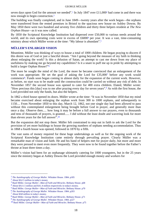seven days upon God for the amount we needed".<sup>1</sup> In July 1847 over £11,000<sup>2</sup> had come in and there was now enough to begin construction.3

The building was finally completed, and in June 1849—twenty years after the work began—the orphans were transferred from the rented premises in Bristol to the spacious new house on Ashley Downs. By May 1850 there were two hundred and seventy five children and thirty three helpers resident at *The New Orphan House—*as it was now called.

By 1850 the Scriptural Knowledge Institution had dispersed over £50,000 to various needs around the world, and its own operating costs were in excess of £6000<sup>4</sup> per year. It was a vast, time-consuming ministry about which Müller wrote at the time: "My labour is abundant".<sup>5</sup>

# **MÜLLER'S ENLARGED VISION**

Meantime, Müller was thinking of ways to house a total of 1000 children. He began praying to discern if this desire was of God or just a fanciful dream. "Am I going beyond the measure of my faith in thinking about enlarging the work? Is this a delusion of Satan, an attempt to cast me down from my place of usefulness by making me go beyond my capabilities? Is it a snare to puff me up in pride by attempting to build a larger Orphan House?"6

The more he sought the mind of the Lord, the more he became convinced that an enlargement of the work was appropriate. He set the goal of asking the Lord for £35,0007 before any work would commence8. Funds soon began coming in almost daily for the expansion of the current work. However, as before, no start was to be made until the construction could be carried on without any risk of debt. In November 1857 the second house was opened to cater for 400 extra children. Elated, Müller wrote: "How precious this [day] was to me after praying every day for seven years".9 As with the first house, the Lord provided not only the funds, but also the helpers.

In 1862 a third house opened its doors. Müller wrote at the time: "It was in November 1850 that my mind became exercised about enlarging the orphan work from 300 to 1000 orphans, and subsequently to 1150.... From November 1850 to this day, March 12, 1862, not one single day had been allowed to pass without this contemplated enlargement being brought before God in prayer, and generally more than once a day. Observe then..... how long it may be before a full answer to our prayers, even to thousands and tens of thousands of prayers, is granted...... I did without the least doubt and wavering look for more than eleven years for the full answer".10

But the expansion did not stop there. Müller felt constrained to step out in faith to ask the Lord for the provision of yet more buildings to house the growing numbers of orphans needing accommodation. Thus in 1868 a fourth house was opened, followed in 1870 by a fifth.

The vast sums of money required for these huge undertakings as well as for the ongoing work of the Scriptural Knowledge Institution came entirely through prevailing prayer. Clearly Müller was a remarkable man of vision and faith. He and his band of helpers met for prayer daily, but more and more they were pressed to meet even more frequently. They were now to be found together before the Father's throne at least three times a day.

Müller's vision had been for an orphanage ultimately catering for 1000 youngsters, but in the 25 years since the ministry began at Ashley Downs the Lord provided enough money and workers for

<sup>1</sup> *The Autobiography of George Muller.* Whitaker House. 1984. p185

<sup>2</sup> About \$A2.5 million in today's money

<sup>3</sup> Basil Miller. *George Muller—Man of Faith and Miracles*. Bethany House. p68

<sup>4</sup> About \$A11.5 million and \$A1.4 million respectively in today's money.

<sup>5</sup> Basil Miller. *George Muller—Man of Faith and Miracles*. Bethany House. p70

<sup>6</sup> *The Autobiography of George Muller.* Whitaker House. 1984. p203

<sup>7</sup> About \$A8 million in today's money.

<sup>8</sup> Basil Miller. *George Muller—Man of Faith and Miracles*. Bethany House. p71

<sup>9</sup> *The Autobiography of George Muller.* Whitaker House. 1984. p227

<sup>10</sup> Basil Miller. *George Muller—Man of Faith and Miracles*. Bethany House. p75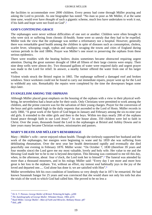the facilities to accommodate over 2000 children. Every penny had come through Müller praying and asking the Lord to provide. As one biographer has noted: "No man so poor as Mr Müller, if at the same time *sane*, would ever have *thought* of such a gigantic scheme, much less have undertaken to work it out, if his faith and hope were not fixed on God".1

# **GOD'S CONTINUING GRACE**

The orphanages were never without difficulties of one sort or another. Children were often brought in who were sick or suffering from chronic ill-health. Some were so unruly that they had to be expelled. Müller took the view that the orphanage was neither a reformatory nor a hospital. However, generally there was remarkable good health among the children in spite of diseases such as consumption, cholera, scarlet fever, whooping cough, typhus and smallpox ravaging the towns and cities of England during various periods in the mid 1800s. Prayer was Müller's one resort to preserving the orphans from these serious epidemics.

There were troubles with the heating boilers; drains sometimes became obstructed requiring urgent attention. During the great summer drought of 1864 all fifteen of their large cisterns were empty. Their nine deep wells were almost dry. Two thousand gallons of water were required daily and urgent prayer was made to the Lord for relief. In answer, a nearby farmer offered the water from one of his larger wells.

Violent winds struck the Bristol region in 1865. The orphanage suffered a damaged roof and broken windows. Since workmen could not be found to carry out immediate repairs, prayer went up for the Lord to withhold any rain. Remarkably the repairs were completed by the time the downpours began some days later.

# **EVANGELISM AMONG THE ORPHANS**

Although Müller placed great emphasis on the housing of the orphans with a view to their physical wellbeing, he nevertheless had a heart-ache for their souls. Only Christians were permitted to work among the children, and the prime concern was for the salvation of their young charges. Prayer for the conversion of the boys and girls ranked high in the daily requests that ascended to the Lord of Hosts. Müller records in early 1860, "A great work of the Spirit of God began in January and February among the six-to-nine year old girls. It extended to the older girls and then to the boys. Within ten days nearly 200 of the orphans found peace through faith in our Lord Jesus".2 In one house alone, 350 children were led to faith in Christ. Over the years, thousands found the Lord in the orphanages at Bristol and Ashley Downs and in later years many became Christian workers, missionaries and pastors.

# **MARY'S DEATH AND MÜLLER'S REMARRIAGE**

Mary—Müller's wife—never enjoyed robust health. Though she tirelessly supported her husband and the work of the orphanages, her energies were beginning to wane and by 1859 she was suffering from debilitating rheumatism. Over the next year her health deteriorated rapidly and eventually she died peacefully one evening in February 1870. Müller wrote: "On October 7, 1830 (therefore 39 years and four months since) the Lord gave me my most valuable, lovely and holy wife. Her value to me and the blessing God made her to be to me is beyond description. This blessing was continued to me till this day, when, in the afternoon, about four o'clock, the Lord took her to himself".<sup>3</sup> The funeral was attended by more than a thousand mourners, and in his eulogy Müller said: "Every day I see more and more how great is her loss to the orphans. Yet, without an effort, my inmost soul habitually joys in the joy of the loved and departed one..... God alone has done it; we are satisfied with Him".<sup>4</sup>

Müller nevertheless felt his own condition of loneliness so very deeply that in 1871 he remarried. He had known Susannah Sangar for 25 years and was convinced that she would share not only his toils but also the trials of the work to which God had called him. She proved to be no less a

<sup>1</sup> Dr A. T. Pierson. *George Muller of Bristol.* Pickering & Inglis., p200

<sup>2</sup> *The Autobiography of George Muller.* Whitaker House. 1984. p235

<sup>3</sup> Basil Miller. *George Muller—Man of Faith and Miracles*. Bethany House. p87

 $4$  ibid., p88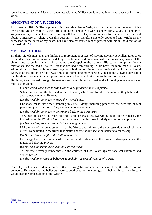remarkable partner than Mary had been, especially as Müller now launched into a new phase of his life's work.

# **APPOINTMENT OF A SUCCESSOR**

In November 1871 Müller appointed his son-in-law James Wright as his successor in the event of his own death. Müller wrote: "By the Lord's kindness I am able to work as heretofore...... yet, as I am sixtysix years of age, I cannot conceal from myself that it is of great importance for the work that I should obtain a measure of relief..... On this account, I have therefore not only appointed Mr Wright as my successor, in the event of my death, but have also associated him at present with me in the direction of the Institution".1

# **MISSIONARY TOURS**

By their mid 60s most men are thinking of retirement or at least of slowing down. Not Müller! Ever since his student days in Germany he had longed to be involved somehow with the missionary work of the church and to be instrumental in bringing the Gospel to the nations. His early attempts to join a missionary society had all failed. But that fire had been burning in his heart for more than 45 years. Although he had been able to make huge contributions to missions world-wide through the Scriptural Knowledge Institution, he felt it was time to do something more personal. He had the growing conviction that he should begin an itinerant preaching ministry that would take him to the ends of the earth.

He thought and prayed through the matter very carefully and arrived at the following seven reasons or motives for going:2

(1) *The world-wide need for the Gospel to be preached in its simplicity.* 

Salvation based on the finished work of Christ; justification for all—the moment they believed and acceptance in the Beloved.

(2) *The need for believers to know their saved state.* 

Christians must know their standing in Christ. Many, including preachers, are destitute of real peace and joy in the Lord. They are unable to lead others.

(3) *The need for believers to be brought back to the Scriptures.*

They need to search the Word to find its hidden treasures. Everything ought to be tested by the touchstone of the Word of God. The Scriptures to be the basis for daily meditation and prayer.

(4) *The need to promote brotherly love among believers.* 

Make much of the great essentials of the Word, and minimise the non-essentials in which they differ. To be united in the truths that matter and rise above sectarian barriers to fellowship.

(5) *The need to strengthen the faith of believers.*

Encourage them to a simple trust in the Lord and confidence in their great God—especially in the matter of believing prayer.

(6) *The need to promote separation from the world.*

To increase heavenly-mindedness in the children of God. Warn against fanatical extremes and extravagances.

(7) *The need to encourage believers to look for the second coming of Christ.*

There lay on his heart a double burden: that of evangelisation and, at the same time, the edification of believers. He knew that as believers were strengthened and encouraged in their faith, so they in turn would become ambassadors of the Gospel.

 $<sup>1</sup>$  ibid., p88</sup>

<sup>2</sup> Dr A. T. Pierson. *George Muller of Bristol.* Pickering & Inglis. p246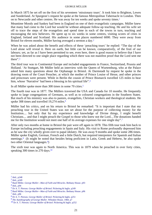In March 1875 he set off on the first of his seventeen 'missionary tours'. It took him to Brighton, Lewes and Sunderland. At Spurgeon's request he spoke at the famous Metropolitan Tabernacle in London. Then on to Newcastle and other centres. He was away for ten weeks and spoke seventy times.1

Meantime Moody and Sankey had been in England on one of their evangelistic campaigns. Müller knew that many had come to the Lord but would be without adequate follow-up teaching. He and his wife set off to trace the steps of the evangelists and spend time in each of the towns in turn, teaching and encouraging the new believers. He spent up to six weeks in some centres, visiting scores of cities in England, Ireland and Scotland. His audience in some places numbered 6000. They were away from Bristol for eleven months, Müller having averaged a sermon a day.2

When he was asked about the benefit and effects of these 'preaching tours' he replied: "The day of the Lord alone will reveal it. Here on earth, but little can be known, comparatively, of the fruit of our labours; yet, as far as I have been permitted to see, even here, there is good reason to believe that I have not been directed to one single place regarding which there was not manifest proof that the Lord sent me there".3

The third tour was to Continental Europe and included engagements in France, Switzerland, Prussia and Holland. 'At Stuttgart, Mr Müller held an interview with the Queen of Wurtemburg, who at the Palace asked him many questions about the Orphanage in Bristol. At Darmstadt by request he spoke in the drawing room of the Court Preacher, at which the mother of Prince Louise of Hesse, and other princes and princesses were present. While in Berlin the cousin of Prince Bismarck travelled 125 miles to hear him, whose 'Narrative' had been a blessing in his spiritual life".<sup>4</sup>

In all Müller spoke more than 300 times in some 70 cities.5

The fourth tour was in 1877. The Müllers traversed the USA and Canada for 10 months. He frequently spoke to large congregations of Germans, as well as to coloured congregations in the Southern States. But much of his ministry was also to pastors, evangelists, Christian workers and theological students. He spoke 308 times and travelled 19,274 miles.<sup>6</sup>

Müller had his critics, and on his return to Bristol he remarked: "It is important that I state that my preaching tour in the United States was not set about for the purpose of collecting money for the Institution.... but only that by my experience and knowledge of Divine things, I might benefit Christians.... and that I might preach the Gospel to those who knew not the Lord....The donations handed me for the Institution would not meet one half of its average expenses for one single day".<sup>7</sup>

After only two months at home in Bristol the pair were off again in 1878. This fifth tour took him back to Europe including preaching engagements in Spain and Italy. His visit to Rome profoundly depressed him as he saw the city wholly given over to papal idolatry. He was away 9 months and spoke some 286 times. Müller spoke English, German, French and a little Dutch, but required interpreters for Spanish and Italian meetings.8 (It might be noted that besides being proficient in Latin, Greek and Hebrew, he also spoke two other Oriental languages.9)

The sixth tour was again to North America. This was in 1879 when he preached in over forty cities, speaking 300 times in 270 days.<sup>10</sup>

 $<sup>1</sup>$  ibid., p248</sup>

<sup>2</sup> ibid., p249

<sup>3</sup> Basil Miller. *George Muller—Man of Faith and Miracles*. Bethany House. p93

<sup>4</sup> ibid., p94

<sup>5</sup> Dr A. T. Pierson. *George Muller of Bristol.* Pickering & Inglis. p249

<sup>6</sup> Basil Miller. *George Muller—Man of Faith and Miracles*. Bethany House. p96

<sup>7</sup> ibid., p96

<sup>8</sup> Dr A. T. Pierson. *George Muller of Bristol.* Pickering & Inglis. p251

<sup>9</sup> *The Autobiography of George Muller.* Whitaker House. 1984. p7

<sup>10</sup> Dr A. T. Pierson. *George Muller of Bristol.* Pickering & Inglis. p252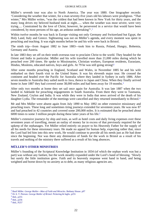Müller's seventh tour was also to North America. The year was 1880. One biographer records: 'Considering the weather that winter, for a man seventy-five years old his labours were prodigious. "That winter," Mrs Müller writes, "was the coldest that had been known in New York for thirty years, and the many long drives my beloved husband took at night...... when the weather was most severe, were very trying..... Constrained by the love of Christ, however, he persevered in a service that would have been considered, by most persons of his age, an arduous undertaking"'.1

Within twelve months he was back in Europe visiting not only Germany and Switzerland but Egypt, the Holy Land, Italy and Greece. Sightseeing was not on Müller's agenda, and every moment was spent in preaching and teaching. It was eight months before he and his wife were back in Bristol.

The ninth trip—from August 1882 to June 1883—took him to Russia, Poland, Hungry, Bohemia, Germany and Austria.

In late 1883 they set off on their tenth overseas tour to proclaim Christ to the world. They headed for the Orient and India in particular. Müller and his wife travelled more than 21,000 miles during which he preached over 200 times. He spoke to Missionaries, Christian workers, European residents, Eurasians, Hindus, Moslems, educated natives, boys and girls. At 79 he was still going strong!<sup>2</sup>

After some months preaching in England, Scotland and Wales, in November 1885 he and his wife embarked on their fourth visit to the United States. It was his eleventh major tour. He crossed the continent and headed over the Pacific for Australia where they landed in Sydney in early 1886. After seven months in Australia they sailed north to Java, thence to Japan and China. When they finally arrived home in June 1887 they had covered some 38,000 miles and had been away for 19 months.<sup>3</sup>

After only two months at home they set sail once again for Australia. It was late 1887 when the two landed in Adelaide for preaching engagements in South Australia. From there they went to Tasmania, New Zealand, Ceylon and India. It was while they were in India that news arrived of the death of his daughter Lydia. The remainder of the meetings were cancelled and they returned immediately to Bristol.<sup>4</sup>

Mr and Mrs Müller were absent again from July 1890 to May 1892 on other extensive missionary and preaching tours. These long and sometimes tiring journeys extended for seventeen years. He was now 87 and had preached in 42 countries and covered some 200,000 miles. It is estimated that he preached about 6000 times to some 3 million people during these latter years of his life.5

Müller's extensive journeys by ship and train, as well as hotel costs and daily living expenses over these seventeen years of travelling, meant an outlay of money far in excess of that previously required for the upkeep of the orphanages. Yet Müller relied entirely on prayer to his Heavenly Father for the supply of all his needs for these missionary tours. He made no appeal for human help, expecting rather that, since the Lord had led him into this new work, He would continue to provide all his needs just as He had done since the beginning. Nor was there any diminution of funds for the work in Bristol as a result of his travels and nothing of the ministry there suffered as a result of his long absences.

# **MÜLLER'S OTHER MINISTRIES**

Müller's founding of the Scriptural Knowledge Institution in 1834 (of which the orphan work was but a part) was without any fanfare, but the work steadily expanded under the Lord's hand of blessing. 'Slowly but surely the little institution grew. Faith and its heavenly response went hand in hand, and being weighted and borne down by no anxiety as to debt, as many religious agencies are,

<sup>1</sup> Basil Miller. *George Muller—Man of Faith and Miracles*. Bethany House. p97

<sup>2</sup> Dr A. T. Pierson. *George Muller of Bristol.* Pickering & Inglis. p255

<sup>3</sup> ibid., p255

<sup>4</sup> ibid., p256

<sup>5</sup> ibid., P257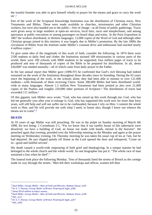the trustful founder was able to give himself wholly to prayer for the means and grace to carry the work  $\text{on}^{\prime}$ .1

Part of the work of the Scriptural Knowledge Institution was the distribution of Christian tracts, New Testaments and Bibles. These were made available to churches, missionaries and other Christian workers, but were also handed out to the public—free of charge—at all forms of public gatherings. Tracts were given away in large numbers at open-air services, local fairs, races and steeplechases, and among spectators at public executions or among passengers on board ships and trains. At the Paris Exposition in 1867 the workers distributed, in thirteen languages, 12,000 copies of the Word of God and although other Christian groups joined in this ministry it was largely due to Müller's promotion. By the late 1800s the circulation of Bibles from the Institute under Müller's constant drive and enthusiasm had reached nearly 4 million copies.2

To give some idea of the magnitude of this work of faith, consider the following: In 1874 there were 2100 orphans to daily feed and clothe; the Institution assisted 189 missionaries in various parts of the world; there were 100 schools with 9000 students to be supported; four million pages of tracts to be produced and tens of thousands of copies of the Bible to be prepared for distribution. In all, about £44,0003 was needed annually—all of which came from daily prayer to the Father.

In the last annual report that Müller gave (1896-97) he confirmed that God's rich blessing had indeed remained on the work of the Institution throughout those decades since its founding. During the 63 years since the beginning of the work, in the schools alone, they had been able to minster to over 121,000 students—with thousands of them receiving Christ. Some 280,000 Bibles had been distributed worldwide in many languages. Almost 1.5 million New Testaments had been printed as also over 21,000 copies of the Psalms and roughly 220,000 other portions of Scripture.4 The distribution of tracts had exceeded 111 million.<sup>5</sup>

Of this gigantic task Müller once wrote: "God, who has raised up this work through me; God, who has led me generally year after year to enlarge it; God, who has supported this work now for more than forty years, will still help and will not suffer me to be confounded, because I rely on Him. I commit the whole work to Him, and He will provide me with what I need, in future also, though I know not whence the means are to come".6

# **DEATH**

At 93 years of age Müller was still preaching. He was in the pulpit on Sunday morning of March 6th 1898, his text being: 2 Corinthians 5:1, "For we know that if our earthly house of this tabernacle were dissolved, we have a building of God, an house not made with hands, eternal in the heavens". He preached again that evening; presided over the fellowship meeting on the Monday and again at the prayer meeting on Wednesday evening. On Thursday morning he was taken his usual cup of tea at 7am, but he had departed. He just slipped quietly off Home as the Lord opened the door and whispered, 'Come on in—good and faithful servant'.

His death caused a world-wide outpouring of both grief and thanksgiving. In a unique manner he had belonged to the whole church and the whole world. As one biographer has put it: "The whole race of man sustained a loss when he died".<sup>7</sup>

The funeral took place the following Monday. Tens of thousands lined the streets of Bristol as the cortège made its way through the streets. 'Men left their workshops and offices, women left their

<sup>1</sup> Basil Miller. *George Muller—Man of Faith and Miracles*. Bethany House. p105

<sup>2</sup> Dr A. T. Pierson. *George Muller of Bristol.* Pickering & Inglis. p266

<sup>3</sup> About \$A10 million in today's money.

<sup>4</sup> Basil Miller. *George Muller—Man of Faith and Miracles*. Bethany House. p108

<sup>5</sup> ibid., p111

<sup>6</sup> Dr A. T. Pierson. *George Muller of Bristol.* Pickering & Inglis. p267

<sup>7</sup> ibid., p285